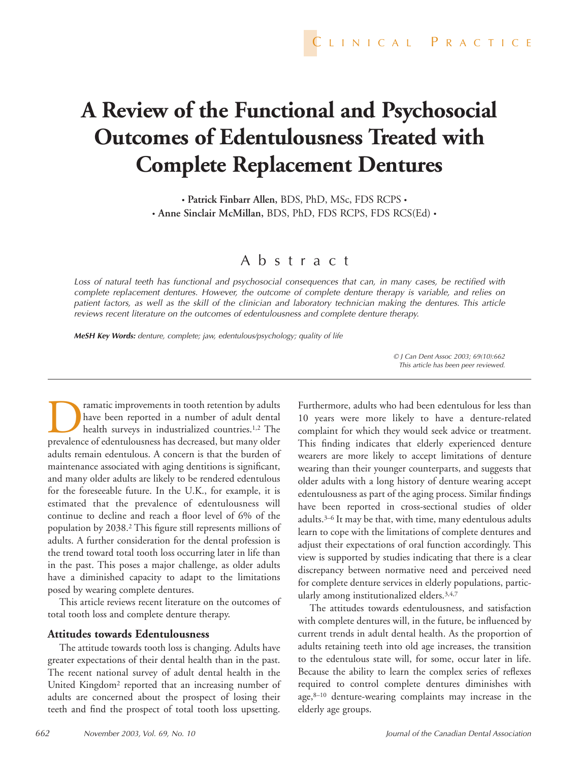# **A Review of the Functional and Psychosocial Outcomes of Edentulousness Treated with Complete Replacement Dentures**

• **Patrick Finbarr Allen,** BDS, PhD, MSc, FDS RCPS • • **Anne Sinclair McMillan,** BDS, PhD, FDS RCPS, FDS RCS(Ed) •

# Abstract

*Loss of natural teeth has functional and psychosocial consequences that can, in many cases, be rectified with complete replacement dentures. However, the outcome of complete denture therapy is variable, and relies on patient factors, as well as the skill of the clinician and laboratory technician making the dentures. This article reviews recent literature on the outcomes of edentulousness and complete denture therapy.*

*MeSH Key Words: denture, complete; jaw, edentulous/psychology; quality of life*

*© J Can Dent Assoc 2003; 69(10):662 This article has been peer reviewed.*

ramatic improvements in tooth retention by adults have been reported in a number of adult dental health surveys in industrialized countries.<sup>1,2</sup> The prevalence of edentulousness has decreased, but many older adults remain edentulous. A concern is that the burden of maintenance associated with aging dentitions is significant, and many older adults are likely to be rendered edentulous for the foreseeable future. In the U.K., for example, it is estimated that the prevalence of edentulousness will continue to decline and reach a floor level of 6% of the population by 2038.2 This figure still represents millions of adults. A further consideration for the dental profession is the trend toward total tooth loss occurring later in life than in the past. This poses a major challenge, as older adults have a diminished capacity to adapt to the limitations posed by wearing complete dentures.

This article reviews recent literature on the outcomes of total tooth loss and complete denture therapy.

#### **Attitudes towards Edentulousness**

The attitude towards tooth loss is changing. Adults have greater expectations of their dental health than in the past. The recent national survey of adult dental health in the United Kingdom2 reported that an increasing number of adults are concerned about the prospect of losing their teeth and find the prospect of total tooth loss upsetting.

Furthermore, adults who had been edentulous for less than 10 years were more likely to have a denture-related complaint for which they would seek advice or treatment. This finding indicates that elderly experienced denture wearers are more likely to accept limitations of denture wearing than their younger counterparts, and suggests that older adults with a long history of denture wearing accept edentulousness as part of the aging process. Similar findings have been reported in cross-sectional studies of older adults.3–6 It may be that, with time, many edentulous adults learn to cope with the limitations of complete dentures and adjust their expectations of oral function accordingly. This view is supported by studies indicating that there is a clear discrepancy between normative need and perceived need for complete denture services in elderly populations, particularly among institutionalized elders.3,4,7

The attitudes towards edentulousness, and satisfaction with complete dentures will, in the future, be influenced by current trends in adult dental health. As the proportion of adults retaining teeth into old age increases, the transition to the edentulous state will, for some, occur later in life. Because the ability to learn the complex series of reflexes required to control complete dentures diminishes with age,8–10 denture-wearing complaints may increase in the elderly age groups.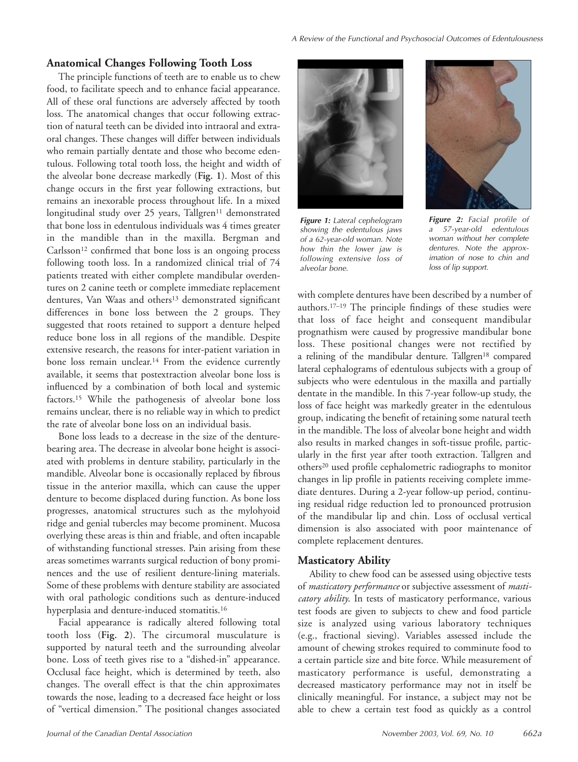### **Anatomical Changes Following Tooth Loss**

The principle functions of teeth are to enable us to chew food, to facilitate speech and to enhance facial appearance. All of these oral functions are adversely affected by tooth loss. The anatomical changes that occur following extraction of natural teeth can be divided into intraoral and extraoral changes. These changes will differ between individuals who remain partially dentate and those who become edentulous. Following total tooth loss, the height and width of the alveolar bone decrease markedly (**Fig. 1**). Most of this change occurs in the first year following extractions, but remains an inexorable process throughout life. In a mixed longitudinal study over 25 years, Tallgren<sup>11</sup> demonstrated that bone loss in edentulous individuals was 4 times greater in the mandible than in the maxilla. Bergman and Carlsson<sup>12</sup> confirmed that bone loss is an ongoing process following tooth loss. In a randomized clinical trial of 74 patients treated with either complete mandibular overdentures on 2 canine teeth or complete immediate replacement dentures, Van Waas and others<sup>13</sup> demonstrated significant differences in bone loss between the 2 groups. They suggested that roots retained to support a denture helped reduce bone loss in all regions of the mandible. Despite extensive research, the reasons for inter-patient variation in bone loss remain unclear.<sup>14</sup> From the evidence currently available, it seems that postextraction alveolar bone loss is influenced by a combination of both local and systemic factors.15 While the pathogenesis of alveolar bone loss remains unclear, there is no reliable way in which to predict the rate of alveolar bone loss on an individual basis.

Bone loss leads to a decrease in the size of the denturebearing area. The decrease in alveolar bone height is associated with problems in denture stability, particularly in the mandible. Alveolar bone is occasionally replaced by fibrous tissue in the anterior maxilla, which can cause the upper denture to become displaced during function. As bone loss progresses, anatomical structures such as the mylohyoid ridge and genial tubercles may become prominent. Mucosa overlying these areas is thin and friable, and often incapable of withstanding functional stresses. Pain arising from these areas sometimes warrants surgical reduction of bony prominences and the use of resilient denture-lining materials. Some of these problems with denture stability are associated with oral pathologic conditions such as denture-induced hyperplasia and denture-induced stomatitis.<sup>16</sup>

Facial appearance is radically altered following total tooth loss (**Fig. 2**). The circumoral musculature is supported by natural teeth and the surrounding alveolar bone. Loss of teeth gives rise to a "dished-in" appearance. Occlusal face height, which is determined by teeth, also changes. The overall effect is that the chin approximates towards the nose, leading to a decreased face height or loss of "vertical dimension." The positional changes associated



*Figure 1: Lateral cephelogram showing the edentulous jaws of a 62-year-old woman. Note how thin the lower jaw is following extensive loss of alveolar bone.*



*Figure 2: Facial profile of a 57-year-old edentulous woman without her complete dentures. Note the approximation of nose to chin and loss of lip support.*

with complete dentures have been described by a number of authors.17–19 The principle findings of these studies were that loss of face height and consequent mandibular prognathism were caused by progressive mandibular bone loss. These positional changes were not rectified by a relining of the mandibular denture. Tallgren<sup>18</sup> compared lateral cephalograms of edentulous subjects with a group of subjects who were edentulous in the maxilla and partially dentate in the mandible. In this 7-year follow-up study, the loss of face height was markedly greater in the edentulous group, indicating the benefit of retaining some natural teeth in the mandible. The loss of alveolar bone height and width also results in marked changes in soft-tissue profile, particularly in the first year after tooth extraction. Tallgren and others20 used profile cephalometric radiographs to monitor changes in lip profile in patients receiving complete immediate dentures. During a 2-year follow-up period, continuing residual ridge reduction led to pronounced protrusion of the mandibular lip and chin. Loss of occlusal vertical dimension is also associated with poor maintenance of complete replacement dentures.

## **Masticatory Ability**

Ability to chew food can be assessed using objective tests of *masticatory performance* or subjective assessment of *masticatory ability*. In tests of masticatory performance, various test foods are given to subjects to chew and food particle size is analyzed using various laboratory techniques (e.g., fractional sieving). Variables assessed include the amount of chewing strokes required to comminute food to a certain particle size and bite force. While measurement of masticatory performance is useful, demonstrating a decreased masticatory performance may not in itself be clinically meaningful. For instance, a subject may not be able to chew a certain test food as quickly as a control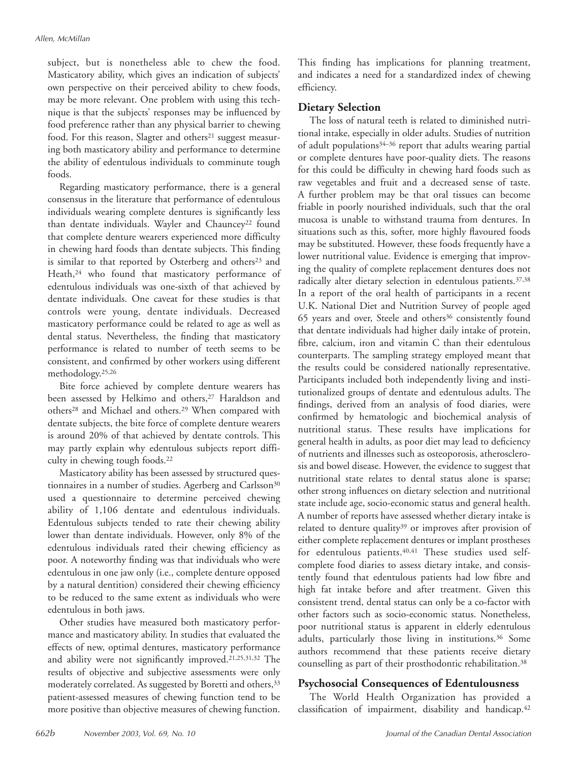subject, but is nonetheless able to chew the food. Masticatory ability, which gives an indication of subjects' own perspective on their perceived ability to chew foods, may be more relevant. One problem with using this technique is that the subjects' responses may be influenced by food preference rather than any physical barrier to chewing food. For this reason, Slagter and others<sup>21</sup> suggest measuring both masticatory ability and performance to determine the ability of edentulous individuals to comminute tough foods.

Regarding masticatory performance, there is a general consensus in the literature that performance of edentulous individuals wearing complete dentures is significantly less than dentate individuals. Wayler and Chauncey<sup>22</sup> found that complete denture wearers experienced more difficulty in chewing hard foods than dentate subjects. This finding is similar to that reported by Osterberg and others<sup>23</sup> and Heath,<sup>24</sup> who found that masticatory performance of edentulous individuals was one-sixth of that achieved by dentate individuals. One caveat for these studies is that controls were young, dentate individuals. Decreased masticatory performance could be related to age as well as dental status. Nevertheless, the finding that masticatory performance is related to number of teeth seems to be consistent, and confirmed by other workers using different methodology.25,26

Bite force achieved by complete denture wearers has been assessed by Helkimo and others,<sup>27</sup> Haraldson and others28 and Michael and others.29 When compared with dentate subjects, the bite force of complete denture wearers is around 20% of that achieved by dentate controls. This may partly explain why edentulous subjects report difficulty in chewing tough foods.22

Masticatory ability has been assessed by structured questionnaires in a number of studies. Agerberg and Carlsson<sup>30</sup> used a questionnaire to determine perceived chewing ability of 1,106 dentate and edentulous individuals. Edentulous subjects tended to rate their chewing ability lower than dentate individuals. However, only 8% of the edentulous individuals rated their chewing efficiency as poor. A noteworthy finding was that individuals who were edentulous in one jaw only (i.e., complete denture opposed by a natural dentition) considered their chewing efficiency to be reduced to the same extent as individuals who were edentulous in both jaws.

Other studies have measured both masticatory performance and masticatory ability. In studies that evaluated the effects of new, optimal dentures, masticatory performance and ability were not significantly improved.21,25,31,32 The results of objective and subjective assessments were only moderately correlated. As suggested by Boretti and others,<sup>33</sup> patient-assessed measures of chewing function tend to be more positive than objective measures of chewing function. This finding has implications for planning treatment, and indicates a need for a standardized index of chewing efficiency.

# **Dietary Selection**

The loss of natural teeth is related to diminished nutritional intake, especially in older adults. Studies of nutrition of adult populations34–36 report that adults wearing partial or complete dentures have poor-quality diets. The reasons for this could be difficulty in chewing hard foods such as raw vegetables and fruit and a decreased sense of taste. A further problem may be that oral tissues can become friable in poorly nourished individuals, such that the oral mucosa is unable to withstand trauma from dentures. In situations such as this, softer, more highly flavoured foods may be substituted. However, these foods frequently have a lower nutritional value. Evidence is emerging that improving the quality of complete replacement dentures does not radically alter dietary selection in edentulous patients.<sup>37,38</sup> In a report of the oral health of participants in a recent U.K. National Diet and Nutrition Survey of people aged 65 years and over, Steele and others<sup>36</sup> consistently found that dentate individuals had higher daily intake of protein, fibre, calcium, iron and vitamin C than their edentulous counterparts. The sampling strategy employed meant that the results could be considered nationally representative. Participants included both independently living and institutionalized groups of dentate and edentulous adults. The findings, derived from an analysis of food diaries, were confirmed by hematologic and biochemical analysis of nutritional status. These results have implications for general health in adults, as poor diet may lead to deficiency of nutrients and illnesses such as osteoporosis, atherosclerosis and bowel disease. However, the evidence to suggest that nutritional state relates to dental status alone is sparse; other strong influences on dietary selection and nutritional state include age, socio-economic status and general health. A number of reports have assessed whether dietary intake is related to denture quality<sup>39</sup> or improves after provision of either complete replacement dentures or implant prostheses for edentulous patients.<sup>40,41</sup> These studies used selfcomplete food diaries to assess dietary intake, and consistently found that edentulous patients had low fibre and high fat intake before and after treatment. Given this consistent trend, dental status can only be a co-factor with other factors such as socio-economic status. Nonetheless, poor nutritional status is apparent in elderly edentulous adults, particularly those living in institutions.36 Some authors recommend that these patients receive dietary counselling as part of their prosthodontic rehabilitation.38

# **Psychosocial Consequences of Edentulousness**

The World Health Organization has provided a classification of impairment, disability and handicap.<sup>42</sup>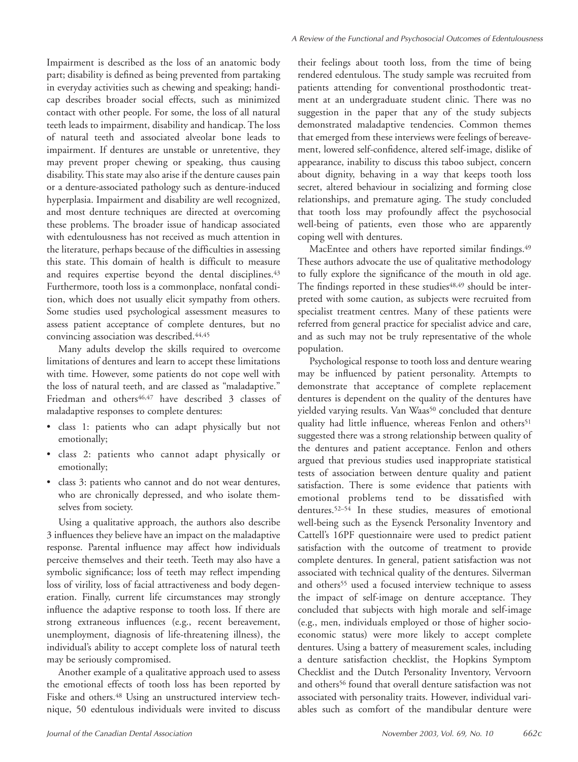Impairment is described as the loss of an anatomic body part; disability is defined as being prevented from partaking in everyday activities such as chewing and speaking; handicap describes broader social effects, such as minimized contact with other people. For some, the loss of all natural teeth leads to impairment, disability and handicap. The loss of natural teeth and associated alveolar bone leads to impairment. If dentures are unstable or unretentive, they may prevent proper chewing or speaking, thus causing disability. This state may also arise if the denture causes pain or a denture-associated pathology such as denture-induced hyperplasia. Impairment and disability are well recognized, and most denture techniques are directed at overcoming these problems. The broader issue of handicap associated with edentulousness has not received as much attention in the literature, perhaps because of the difficulties in assessing this state. This domain of health is difficult to measure and requires expertise beyond the dental disciplines.<sup>43</sup> Furthermore, tooth loss is a commonplace, nonfatal condition, which does not usually elicit sympathy from others. Some studies used psychological assessment measures to assess patient acceptance of complete dentures, but no convincing association was described.44,45

Many adults develop the skills required to overcome limitations of dentures and learn to accept these limitations with time. However, some patients do not cope well with the loss of natural teeth, and are classed as "maladaptive." Friedman and others<sup>46,47</sup> have described 3 classes of maladaptive responses to complete dentures:

- class 1: patients who can adapt physically but not emotionally;
- class 2: patients who cannot adapt physically or emotionally;
- class 3: patients who cannot and do not wear dentures, who are chronically depressed, and who isolate themselves from society.

Using a qualitative approach, the authors also describe 3 influences they believe have an impact on the maladaptive response. Parental influence may affect how individuals perceive themselves and their teeth. Teeth may also have a symbolic significance; loss of teeth may reflect impending loss of virility, loss of facial attractiveness and body degeneration. Finally, current life circumstances may strongly influence the adaptive response to tooth loss. If there are strong extraneous influences (e.g., recent bereavement, unemployment, diagnosis of life-threatening illness), the individual's ability to accept complete loss of natural teeth may be seriously compromised.

Another example of a qualitative approach used to assess the emotional effects of tooth loss has been reported by Fiske and others.<sup>48</sup> Using an unstructured interview technique, 50 edentulous individuals were invited to discuss

their feelings about tooth loss, from the time of being rendered edentulous. The study sample was recruited from patients attending for conventional prosthodontic treatment at an undergraduate student clinic. There was no suggestion in the paper that any of the study subjects demonstrated maladaptive tendencies. Common themes that emerged from these interviews were feelings of bereavement, lowered self-confidence, altered self-image, dislike of appearance, inability to discuss this taboo subject, concern about dignity, behaving in a way that keeps tooth loss secret, altered behaviour in socializing and forming close relationships, and premature aging. The study concluded that tooth loss may profoundly affect the psychosocial well-being of patients, even those who are apparently coping well with dentures.

MacEntee and others have reported similar findings.<sup>49</sup> These authors advocate the use of qualitative methodology to fully explore the significance of the mouth in old age. The findings reported in these studies<sup>48,49</sup> should be interpreted with some caution, as subjects were recruited from specialist treatment centres. Many of these patients were referred from general practice for specialist advice and care, and as such may not be truly representative of the whole population.

Psychological response to tooth loss and denture wearing may be influenced by patient personality. Attempts to demonstrate that acceptance of complete replacement dentures is dependent on the quality of the dentures have yielded varying results. Van Waas<sup>50</sup> concluded that denture quality had little influence, whereas Fenlon and others<sup>51</sup> suggested there was a strong relationship between quality of the dentures and patient acceptance. Fenlon and others argued that previous studies used inappropriate statistical tests of association between denture quality and patient satisfaction. There is some evidence that patients with emotional problems tend to be dissatisfied with dentures.52–54 In these studies, measures of emotional well-being such as the Eysenck Personality Inventory and Cattell's 16PF questionnaire were used to predict patient satisfaction with the outcome of treatment to provide complete dentures. In general, patient satisfaction was not associated with technical quality of the dentures. Silverman and others<sup>55</sup> used a focused interview technique to assess the impact of self-image on denture acceptance. They concluded that subjects with high morale and self-image (e.g., men, individuals employed or those of higher socioeconomic status) were more likely to accept complete dentures. Using a battery of measurement scales, including a denture satisfaction checklist, the Hopkins Symptom Checklist and the Dutch Personality Inventory, Vervoorn and others<sup>56</sup> found that overall denture satisfaction was not associated with personality traits. However, individual variables such as comfort of the mandibular denture were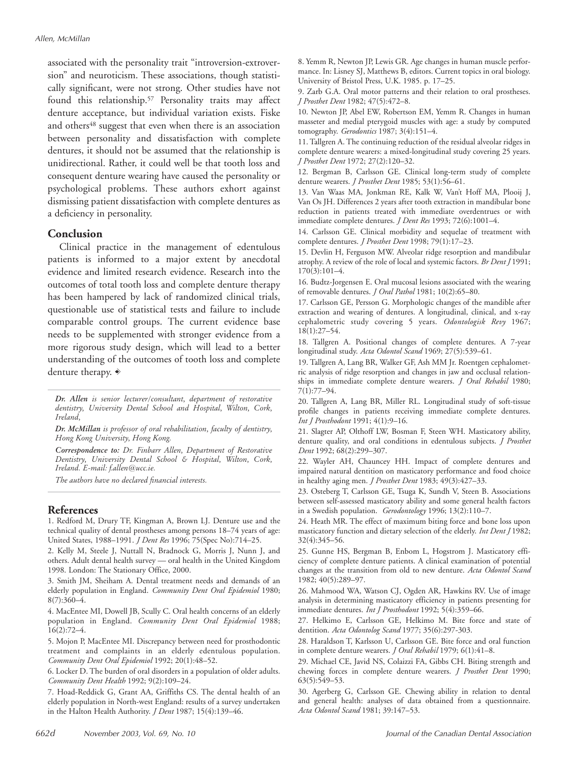associated with the personality trait "introversion-extroversion" and neuroticism. These associations, though statistically significant, were not strong. Other studies have not found this relationship.57 Personality traits may affect denture acceptance, but individual variation exists. Fiske and others<sup>48</sup> suggest that even when there is an association between personality and dissatisfaction with complete dentures, it should not be assumed that the relationship is unidirectional. Rather, it could well be that tooth loss and consequent denture wearing have caused the personality or psychological problems. These authors exhort against dismissing patient dissatisfaction with complete dentures as a deficiency in personality.

#### **Conclusion**

Clinical practice in the management of edentulous patients is informed to a major extent by anecdotal evidence and limited research evidence. Research into the outcomes of total tooth loss and complete denture therapy has been hampered by lack of randomized clinical trials, questionable use of statistical tests and failure to include comparable control groups. The current evidence base needs to be supplemented with stronger evidence from a more rigorous study design, which will lead to a better understanding of the outcomes of tooth loss and complete denture therapy.  $\ast$ 

*Dr. Allen is senior lecturer/consultant, department of restorative dentistry, University Dental School and Hospital, Wilton, Cork, Ireland,*

*Dr. McMillan is professor of oral rehabilitation, faculty of dentistry, Hong Kong University, Hong Kong.*

*Correspondence to: Dr. Finbarr Allen, Department of Restorative Dentistry, University Dental School & Hospital, Wilton, Cork, Ireland. E-mail: f.allen@ucc.ie.*

*The authors have no declared financial interests.*

#### **References**

1. Redford M, Drury TF, Kingman A, Brown LJ. Denture use and the technical quality of dental prostheses among persons 18–74 years of age: United States, 1988–1991. *J Dent Res* 1996; 75(Spec No):714–25.

2. Kelly M, Steele J, Nuttall N, Bradnock G, Morris J, Nunn J, and others. Adult dental health survey — oral health in the United Kingdom 1998. London: The Stationary Office, 2000.

3. Smith JM, Sheiham A. Dental treatment needs and demands of an elderly population in England. *Community Dent Oral Epidemiol* 1980; 8(7):360–4.

4. MacEntee MI, Dowell JB, Scully C. Oral health concerns of an elderly population in England. *Community Dent Oral Epidemiol* 1988; 16(2):72–4.

5. Mojon P, MacEntee MI. Discrepancy between need for prosthodontic treatment and complaints in an elderly edentulous population. *Community Dent Oral Epidemiol* 1992; 20(1):48–52.

6. Locker D. The burden of oral disorders in a population of older adults. *Community Dent Health* 1992; 9(2):109–24.

7. Hoad-Reddick G, Grant AA, Griffiths CS. The dental health of an elderly population in North-west England: results of a survey undertaken in the Halton Health Authority. *J Dent* 1987; 15(4):139–46.

8. Yemm R, Newton JP, Lewis GR. Age changes in human muscle performance. In: Lisney SJ, Matthews B, editors. Current topics in oral biology. University of Bristol Press, U.K. 1985. p. 17–25.

9. Zarb G.A. Oral motor patterns and their relation to oral prostheses. *J Prosthet Dent* 1982; 47(5):472–8.

10. Newton JP, Abel EW, Robertson EM, Yemm R. Changes in human masseter and medial pterygoid muscles with age: a study by computed tomography. *Gerodontics* 1987; 3(4):151–4.

11. Tallgren A. The continuing reduction of the residual alveolar ridges in complete denture wearers: a mixed-longitudinal study covering 25 years. *J Prosthet Dent* 1972; 27(2):120–32.

12. Bergman B, Carlsson GE. Clinical long-term study of complete denture wearers. *J Prosthet Dent* 1985; 53(1):56–61.

13. Van Waas MA, Jonkman RE, Kalk W, Van't Hoff MA, Plooij J, Van Os JH. Differences 2 years after tooth extraction in mandibular bone reduction in patients treated with immediate overdentrues or with immediate complete dentures. *J Dent Res* 1993; 72(6):1001–4.

14. Carlsson GE. Clinical morbidity and sequelae of treatment with complete dentures. *J Prosthet Dent* 1998; 79(1):17–23.

15. Devlin H, Ferguson MW. Alveolar ridge resorption and mandibular atrophy. A review of the role of local and systemic factors. *Br Dent J* 1991; 170(3):101–4.

16. Budtz-Jorgensen E. Oral mucosal lesions associated with the wearing of removable dentures. *J Oral Pathol* 1981; 10(2):65–80.

17. Carlsson GE, Persson G. Morphologic changes of the mandible after extraction and wearing of dentures. A longitudinal, clinical, and x-ray cephalometric study covering 5 years. *Odontologisk Revy* 1967; 18(1):27–54.

18. Tallgren A. Positional changes of complete dentures. A 7-year longitudinal study. *Acta Odontol Scand* 1969; 27(5):539–61.

19. Tallgren A, Lang BR, Walker GF, Ash MM Jr. Roentgen cephalometric analysis of ridge resorption and changes in jaw and occlusal relationships in immediate complete denture wearers. *J Oral Rehabil* 1980; 7(1):77–94.

20. Tallgren A, Lang BR, Miller RL. Longitudinal study of soft-tissue profile changes in patients receiving immediate complete dentures. *Int J Prosthodont* 1991; 4(1):9–16.

21. Slagter AP, Olthoff LW, Bosman F, Steen WH. Masticatory ability, denture quality, and oral conditions in edentulous subjects. *J Prosthet Dent* 1992; 68(2):299–307.

22. Wayler AH, Chauncey HH. Impact of complete dentures and impaired natural dentition on masticatory performance and food choice in healthy aging men. *J Prosthet Dent* 1983; 49(3):427–33.

23. Osteberg T, Carlsson GE, Tsuga K, Sundh V, Steen B. Associations between self-assessed masticatory ability and some general health factors in a Swedish population. *Gerodontology* 1996; 13(2):110–7.

24. Heath MR. The effect of maximum biting force and bone loss upon masticatory function and dietary selection of the elderly. *Int Dent J* 1982; 32(4):345–56.

25. Gunne HS, Bergman B, Enbom L, Hogstrom J. Masticatory efficiency of complete denture patients. A clinical examination of potential changes at the transition from old to new denture. *Acta Odontol Scand* 1982; 40(5):289–97.

26. Mahmood WA, Watson CJ, Ogden AR, Hawkins RV. Use of image analysis in determining masticatory efficiency in patients presenting for immediate dentures. *Int J Prosthodont* 1992; 5(4):359–66.

27. Helkimo E, Carlsson GE, Helkimo M. Bite force and state of dentition. *Acta Odontolog Scand* 1977; 35(6):297-303.

28. Haraldson T, Karlsson U, Carlsson GE. Bite force and oral function in complete denture wearers. *J Oral Rehabil* 1979; 6(1):41–8.

29. Michael CE, Javid NS, Colaizzi FA, Gibbs CH. Biting strength and chewing forces in complete denture wearers. *J Prosthet Dent* 1990; 63(5):549–53.

30. Agerberg G, Carlsson GE. Chewing ability in relation to dental and general health: analyses of data obtained from a questionnaire. *Acta Odontol Scand* 1981; 39:147–53.